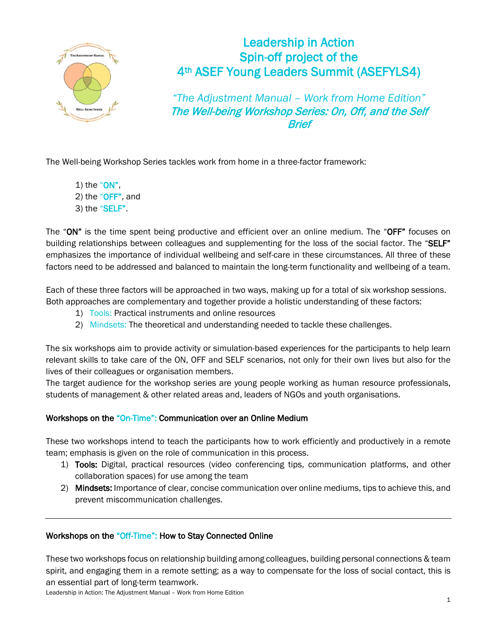

## Leadership in Action Spin-off project of the 4th ASEF Young Leaders Summit (ASEFYLS4)

*"The Adjustment Manual – Work from Home Edition"* The Well-being Workshop Series: On, Off, and the Self **Rrief** 

The Well-being Workshop Series tackles work from home in a three-factor framework:

1) the " $ON$ ", 2) the "OFF", and 3) the "SELF".

The "ON" is the time spent being productive and efficient over an online medium. The "OFF" focuses on building relationships between colleagues and supplementing for the loss of the social factor. The "SELF" emphasizes the importance of individual wellbeing and self-care in these circumstances. All three of these factors need to be addressed and balanced to maintain the long-term functionality and wellbeing of a team.

Each of these three factors will be approached in two ways, making up for a total of six workshop sessions. Both approaches are complementary and together provide a holistic understanding of these factors:

- 1) Tools: Practical instruments and online resources
- 2) Mindsets: The theoretical and understanding needed to tackle these challenges.

The six workshops aim to provide activity or simulation-based experiences for the participants to help learn relevant skills to take care of the ON, OFF and SELF scenarios, not only for their own lives but also for the lives of their colleagues or organisation members.

The target audience for the workshop series are young people working as human resource professionals, students of management & other related areas and, leaders of NGOs and youth organisations.

## Workshops on the "On-Time": Communication over an Online Medium

These two workshops intend to teach the participants how to work efficiently and productively in a remote team; emphasis is given on the role of communication in this process.

- 1) Tools: Digital, practical resources (video conferencing tips, communication platforms, and other collaboration spaces) for use among the team
- 2) Mindsets: Importance of clear, concise communication over online mediums, tips to achieve this, and prevent miscommunication challenges.

## Workshops on the "Off-Time": How to Stay Connected Online

These two workshops focus on relationship building among colleagues, building personal connections & team spirit, and engaging them in a remote setting; as a way to compensate for the loss of social contact, this is an essential part of long-term teamwork.

Leadership in Action: The Adjustment Manual – Work from Home Edition